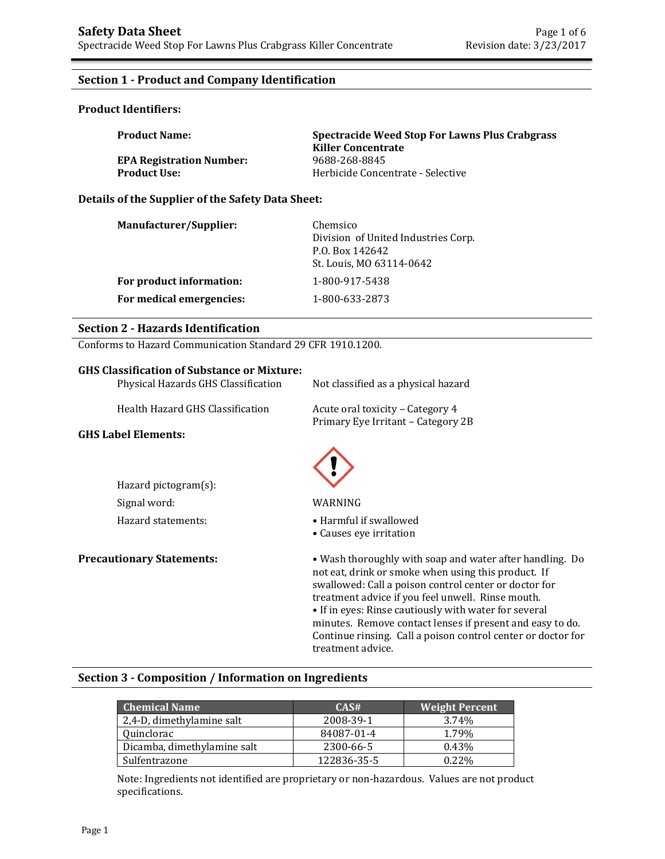## **Section 1 - Product and Company Identification**

### **Product Identifiers:**

| <b>Product Name:</b>            | Spectracide Weed Stop For Lawns Plus Crabgrass<br>Killer Concentrate |
|---------------------------------|----------------------------------------------------------------------|
| <b>EPA Registration Number:</b> | 9688-268-8845                                                        |
| <b>Product Use:</b>             | Herbicide Concentrate - Selective                                    |

#### **Details of the Supplier of the Safety Data Sheet:**

| <b>Manufacturer/Supplier:</b> | Chemsico<br>Division of United Industries Corp.<br>P.O. Box 142642<br>St. Louis, MO 63114-0642 |
|-------------------------------|------------------------------------------------------------------------------------------------|
| For product information:      | 1-800-917-5438                                                                                 |
| For medical emergencies:      | 1-800-633-2873                                                                                 |

#### **Section 2 - Hazards Identification**

Conforms to Hazard Communication Standard 29 CFR 1910.1200.

### **GHS Classification of Substance or Mixture:**

| Physical Hazards GHS Classification | Not classified as a physical hazard                                                                             |  |  |
|-------------------------------------|-----------------------------------------------------------------------------------------------------------------|--|--|
| Health Hazard GHS Classification    | Acute oral toxicity - Category 4<br>Primary Eye Irritant - Category 2B                                          |  |  |
| <b>GHS Label Elements:</b>          |                                                                                                                 |  |  |
| Hazard pictogram $(s)$ :            |                                                                                                                 |  |  |
| Signal word:                        | WARNING                                                                                                         |  |  |
| Hazard statements:                  | • Harmful if swallowed<br>• Causes eve irritation                                                               |  |  |
| <b>Precautionary Statements:</b>    | • Wash thoroughly with soap and water after handling. Do<br>not eat, drink or smoke when using this product. If |  |  |

his product. If swallowed: Call a poison control center or doctor for treatment advice if you feel unwell. Rinse mouth. • If in eyes: Rinse cautiously with water for several minutes. Remove contact lenses if present and easy to do. Continue rinsing. Call a poison control center or doctor for treatment advice.

#### **Section 3 - Composition / Information on Ingredients**

| <b>Chemical Name</b>        | CAS#        | <b>Weight Percent</b> |
|-----------------------------|-------------|-----------------------|
| 2,4-D, dimethylamine salt   | 2008-39-1   | 3.74%                 |
| Quinclorac                  | 84087-01-4  | 1.79%                 |
| Dicamba, dimethylamine salt | 2300-66-5   | 0.43%                 |
| Sulfentrazone               | 122836-35-5 | $0.22\%$              |

Note: Ingredients not identified are proprietary or non-hazardous. Values are not product specifications.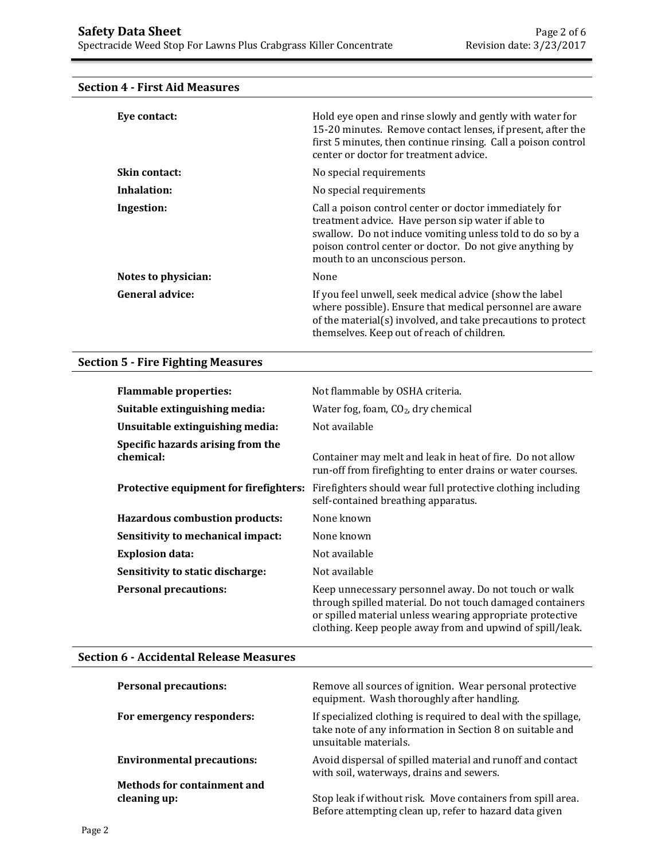# **Eye contact: Exercise 3** Hold eye open and rinse slowly and gently with water for 15-20 minutes. Remove contact lenses, if present, after the first 5 minutes, then continue rinsing. Call a poison control center or doctor for treatment advice. **Skin contact:** No special requirements **Inhalation:** No special requirements **Ingestion:** Call a poison control center or doctor immediately for treatment advice. Have person sip water if able to swallow. Do not induce vomiting unless told to do so by a poison control center or doctor. Do not give anything by mouth to an unconscious person. **Notes to physician:** None **General advice:** If you feel unwell, seek medical advice (show the label where possible). Ensure that medical personnel are aware of the material(s) involved, and take precautions to protect themselves. Keep out of reach of children.

#### **Section 4 - First Aid Measures**

## **Section 5 - Fire Fighting Measures**

| <b>Flammable properties:</b>                   | Not flammable by OSHA criteria.                                                                                                                                                                                                              |
|------------------------------------------------|----------------------------------------------------------------------------------------------------------------------------------------------------------------------------------------------------------------------------------------------|
| Suitable extinguishing media:                  | Water fog, foam, $CO2$ , dry chemical                                                                                                                                                                                                        |
| Unsuitable extinguishing media:                | Not available                                                                                                                                                                                                                                |
| Specific hazards arising from the<br>chemical: | Container may melt and leak in heat of fire. Do not allow<br>run-off from firefighting to enter drains or water courses.                                                                                                                     |
| Protective equipment for firefighters:         | Firefighters should wear full protective clothing including<br>self-contained breathing apparatus.                                                                                                                                           |
| <b>Hazardous combustion products:</b>          | None known                                                                                                                                                                                                                                   |
| Sensitivity to mechanical impact:              | None known                                                                                                                                                                                                                                   |
| <b>Explosion data:</b>                         | Not available                                                                                                                                                                                                                                |
| Sensitivity to static discharge:               | Not available                                                                                                                                                                                                                                |
| <b>Personal precautions:</b>                   | Keep unnecessary personnel away. Do not touch or walk<br>through spilled material. Do not touch damaged containers<br>or spilled material unless wearing appropriate protective<br>clothing. Keep people away from and upwind of spill/leak. |

#### **Section 6 - Accidental Release Measures**

| <b>Personal precautions:</b>       | Remove all sources of ignition. Wear personal protective<br>equipment. Wash thoroughly after handling.                                               |
|------------------------------------|------------------------------------------------------------------------------------------------------------------------------------------------------|
| For emergency responders:          | If specialized clothing is required to deal with the spillage,<br>take note of any information in Section 8 on suitable and<br>unsuitable materials. |
| <b>Environmental precautions:</b>  | Avoid dispersal of spilled material and runoff and contact<br>with soil, waterways, drains and sewers.                                               |
| <b>Methods for containment and</b> |                                                                                                                                                      |
| cleaning up:                       | Stop leak if without risk. Move containers from spill area.                                                                                          |
|                                    | Before attempting clean up, refer to hazard data given                                                                                               |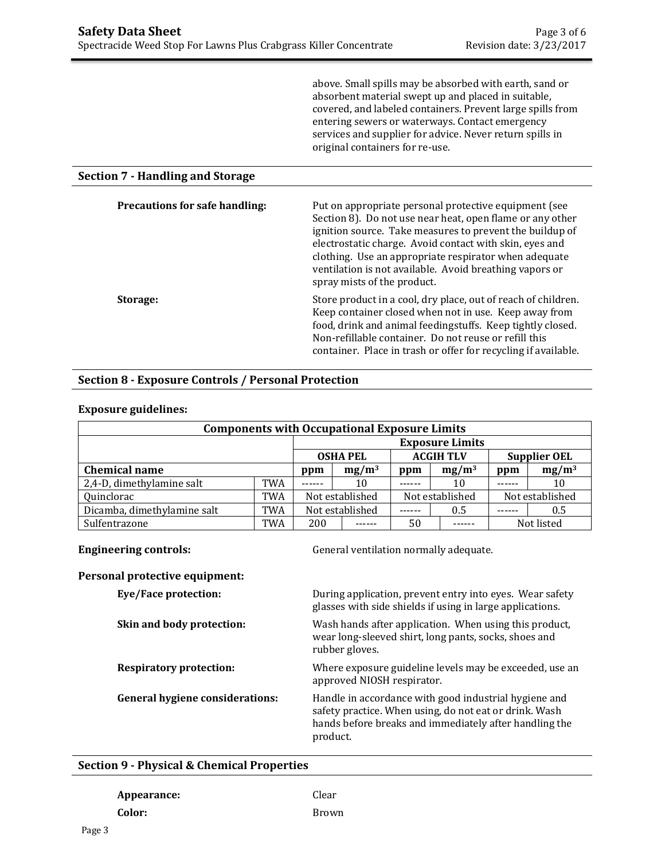above. Small spills may be absorbed with earth, sand or absorbent material swept up and placed in suitable, covered, and labeled containers. Prevent large spills from entering sewers or waterways. Contact emergency services and supplier for advice. Never return spills in original containers for re-use.

## **Section 7 - Handling and Storage**

| <b>Precautions for safe handling:</b> | Put on appropriate personal protective equipment (see<br>Section 8). Do not use near heat, open flame or any other<br>ignition source. Take measures to prevent the buildup of<br>electrostatic charge. Avoid contact with skin, eyes and<br>clothing. Use an appropriate respirator when adequate<br>ventilation is not available. Avoid breathing vapors or |
|---------------------------------------|---------------------------------------------------------------------------------------------------------------------------------------------------------------------------------------------------------------------------------------------------------------------------------------------------------------------------------------------------------------|
| Storage:                              | spray mists of the product.<br>Store product in a cool, dry place, out of reach of children.<br>Keep container closed when not in use. Keep away from<br>food, drink and animal feedingstuffs. Keep tightly closed.<br>Non-refillable container. Do not reuse or refill this<br>container. Place in trash or offer for recycling if available.                |

# **Section 8 - Exposure Controls / Personal Protection**

#### **Exposure guidelines:**

| <b>Components with Occupational Exposure Limits</b> |                 |                        |                  |     |                     |     |                 |
|-----------------------------------------------------|-----------------|------------------------|------------------|-----|---------------------|-----|-----------------|
|                                                     |                 | <b>Exposure Limits</b> |                  |     |                     |     |                 |
|                                                     | <b>OSHA PEL</b> |                        | <b>ACGIH TLV</b> |     | <b>Supplier OEL</b> |     |                 |
| <b>Chemical name</b>                                |                 | ppm                    | $mg/m^3$         | ppm | $mg/m^3$            | ppm | $mg/m^3$        |
| 2,4-D, dimethylamine salt                           | TWA             |                        | 10               |     | 10                  |     | 10              |
| Quinclorac                                          | TWA             |                        | Not established  |     | Not established     |     | Not established |
| Dicamba, dimethylamine salt                         | TWA             |                        | Not established  |     | 0.5                 |     | 0.5             |
| Sulfentrazone                                       | TWA             | 200                    |                  | 50  |                     |     | Not listed      |

**Engineering controls:** General ventilation normally adequate.

#### **Personal protective equipment:**

| Eye/Face protection:            | During application, prevent entry into eyes. Wear safety<br>glasses with side shields if using in large applications.                                                                 |
|---------------------------------|---------------------------------------------------------------------------------------------------------------------------------------------------------------------------------------|
| Skin and body protection:       | Wash hands after application. When using this product,<br>wear long-sleeved shirt, long pants, socks, shoes and<br>rubber gloves.                                                     |
| <b>Respiratory protection:</b>  | Where exposure guideline levels may be exceeded, use an<br>approved NIOSH respirator.                                                                                                 |
| General hygiene considerations: | Handle in accordance with good industrial hygiene and<br>safety practice. When using, do not eat or drink. Wash<br>hands before breaks and immediately after handling the<br>product. |

#### **Section 9 - Physical & Chemical Properties**

| Appearance: | Clear |  |
|-------------|-------|--|
| Color:      | Brown |  |
| - - - ີ     |       |  |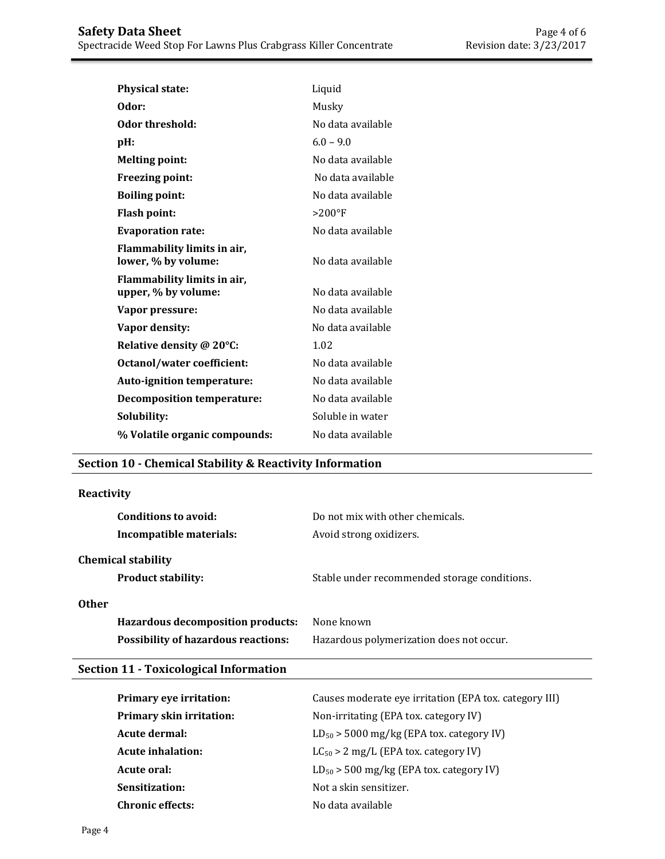| <b>Physical state:</b>                             | Liquid            |
|----------------------------------------------------|-------------------|
| Odor:                                              | Musky             |
| Odor threshold:                                    | No data available |
| pH:                                                | $6.0 - 9.0$       |
| <b>Melting point:</b>                              | No data available |
| <b>Freezing point:</b>                             | No data available |
| <b>Boiling point:</b>                              | No data available |
| <b>Flash point:</b>                                | $>200^{\circ}$ F  |
| <b>Evaporation rate:</b>                           | No data available |
| Flammability limits in air,<br>lower, % by volume: | No data available |
| Flammability limits in air,<br>upper, % by volume: | No data available |
| Vapor pressure:                                    | No data available |
| Vapor density:                                     | No data available |
| Relative density @ 20°C:                           | 1.02              |
| Octanol/water coefficient:                         | No data available |
| Auto-ignition temperature:                         | No data available |
| <b>Decomposition temperature:</b>                  | No data available |
| Solubility:                                        | Soluble in water  |
| % Volatile organic compounds:                      | No data available |

# **Section 10 - Chemical Stability & Reactivity Information**

# **Reactivity**

| Conditions to avoid:<br>Incompatible materials:        | Do not mix with other chemicals.<br>Avoid strong oxidizers. |
|--------------------------------------------------------|-------------------------------------------------------------|
| <b>Chemical stability</b><br><b>Product stability:</b> | Stable under recommended storage conditions.                |
| <b>Other</b>                                           |                                                             |
| Hazardous decomposition products:                      | None known                                                  |
| <b>Possibility of hazardous reactions:</b>             | Hazardous polymerization does not occur.                    |

# **Section 11 - Toxicological Information**

| Primary eye irritation:  | Causes moderate eye irritation (EPA tox. category III) |
|--------------------------|--------------------------------------------------------|
| Primary skin irritation: | Non-irritating (EPA tox. category IV)                  |
| Acute dermal:            | $LD_{50}$ > 5000 mg/kg (EPA tox. category IV)          |
| <b>Acute inhalation:</b> | $LC_{50}$ > 2 mg/L (EPA tox. category IV)              |
| Acute oral:              | $LD_{50}$ > 500 mg/kg (EPA tox. category IV)           |
| Sensitization:           | Not a skin sensitizer.                                 |
| <b>Chronic effects:</b>  | No data available                                      |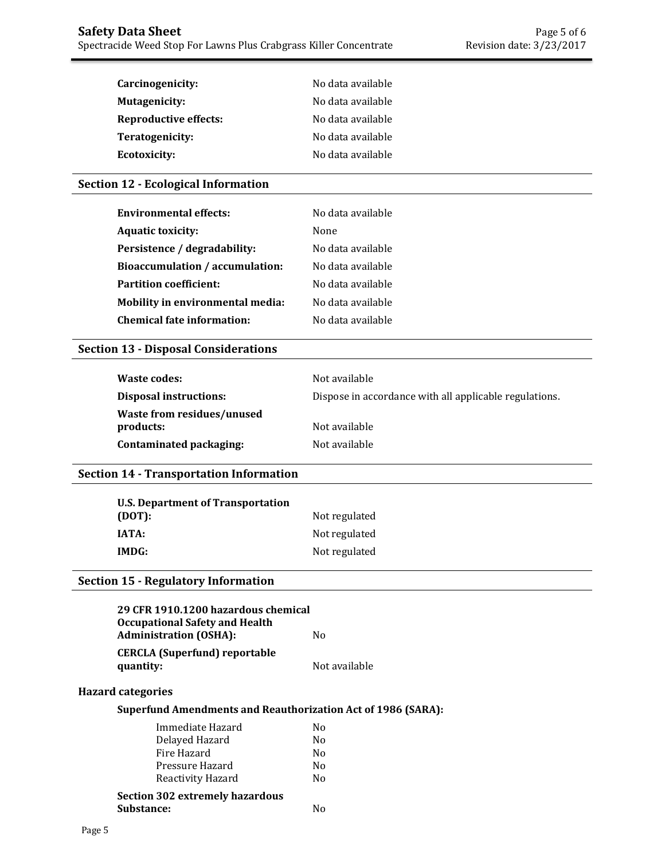| Carcinogenicity:             | No data available |
|------------------------------|-------------------|
| Mutagenicity:                | No data available |
| <b>Reproductive effects:</b> | No data available |
| Teratogenicity:              | No data available |
| <b>Ecotoxicity:</b>          | No data available |

## **Section 12 - Ecological Information**

| <b>Environmental effects:</b>     | No data available |
|-----------------------------------|-------------------|
| <b>Aquatic toxicity:</b>          | None              |
| Persistence / degradability:      | No data available |
| Bioaccumulation / accumulation:   | No data available |
| <b>Partition coefficient:</b>     | No data available |
| Mobility in environmental media:  | No data available |
| <b>Chemical fate information:</b> | No data available |
|                                   |                   |

## **Section 13 - Disposal Considerations**

| Waste codes:                            | Not available                                          |
|-----------------------------------------|--------------------------------------------------------|
| Disposal instructions:                  | Dispose in accordance with all applicable regulations. |
| Waste from residues/unused<br>products: | Not available                                          |
| Contaminated packaging:                 | Not available                                          |

# **Section 14 - Transportation Information**

| <b>U.S. Department of Transportation</b> |               |  |  |
|------------------------------------------|---------------|--|--|
| (DOT):                                   | Not regulated |  |  |
| IATA:                                    | Not regulated |  |  |
| IMDG:                                    | Not regulated |  |  |

# **Section 15 - Regulatory Information**

| 29 CFR 1910.1200 hazardous chemical   |               |
|---------------------------------------|---------------|
| <b>Occupational Safety and Health</b> |               |
| <b>Administration (OSHA):</b>         | Nο            |
| <b>CERCLA (Superfund) reportable</b>  |               |
| quantity:                             | Not available |

### **Hazard categories**

## **Superfund Amendments and Reauthorization Act of 1986 (SARA):**

| Immediate Hazard                | No. |
|---------------------------------|-----|
| Delayed Hazard                  | No  |
| Fire Hazard                     | No  |
| Pressure Hazard                 | No  |
| Reactivity Hazard               | No  |
| Section 302 extremely hazardous |     |
| Substance:                      |     |